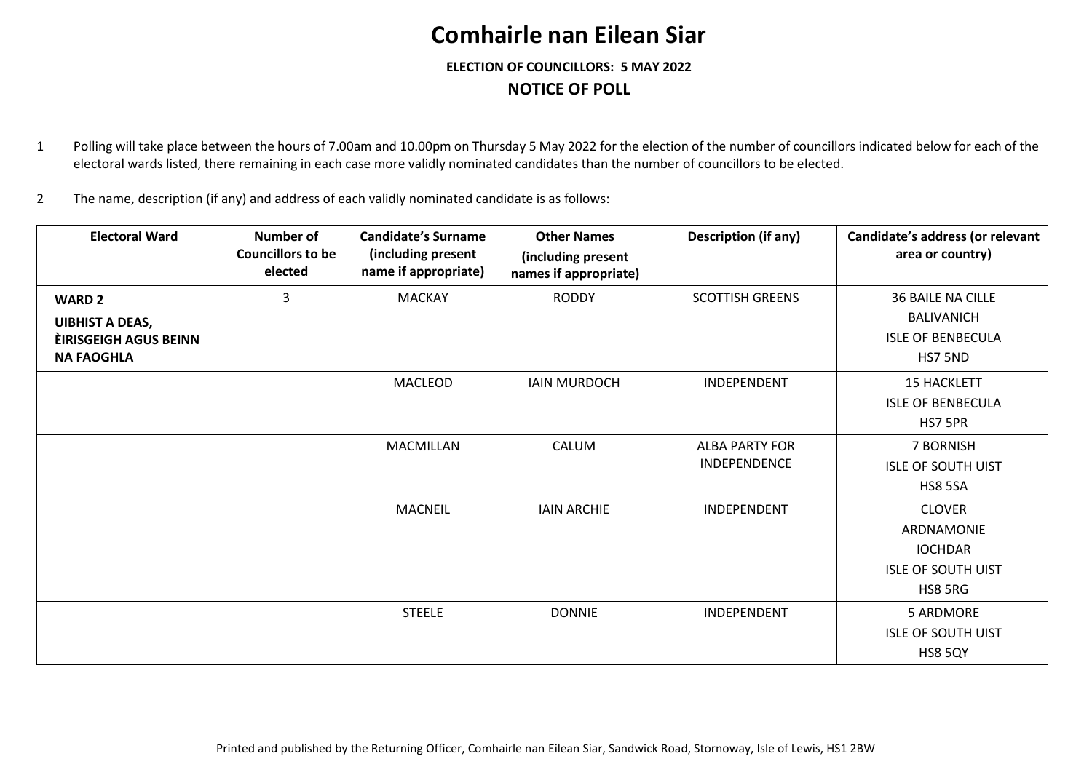## **Comhairle nan Eilean Siar**

**ELECTION OF COUNCILLORS: 5 MAY 2022 NOTICE OF POLL**

1 Polling will take place between the hours of 7.00am and 10.00pm on Thursday 5 May 2022 for the election of the number of councillors indicated below for each of the electoral wards listed, there remaining in each case more validly nominated candidates than the number of councillors to be elected.

2 The name, description (if any) and address of each validly nominated candidate is as follows:

| <b>Electoral Ward</b>                                                                        | Number of<br><b>Councillors to be</b><br>elected | <b>Candidate's Surname</b><br>(including present<br>name if appropriate) | <b>Other Names</b><br>(including present<br>names if appropriate) | <b>Description (if any)</b>           | Candidate's address (or relevant<br>area or country)                                  |
|----------------------------------------------------------------------------------------------|--------------------------------------------------|--------------------------------------------------------------------------|-------------------------------------------------------------------|---------------------------------------|---------------------------------------------------------------------------------------|
| <b>WARD 2</b><br><b>UIBHIST A DEAS,</b><br><b>EIRISGEIGH AGUS BEINN</b><br><b>NA FAOGHLA</b> | 3                                                | <b>MACKAY</b>                                                            | <b>RODDY</b>                                                      | <b>SCOTTISH GREENS</b>                | <b>36 BAILE NA CILLE</b><br><b>BALIVANICH</b><br><b>ISLE OF BENBECULA</b><br>HS7 5ND  |
|                                                                                              |                                                  | MACLEOD                                                                  | <b>IAIN MURDOCH</b>                                               | INDEPENDENT                           | <b>15 HACKLETT</b><br><b>ISLE OF BENBECULA</b><br>HS7 5PR                             |
|                                                                                              |                                                  | <b>MACMILLAN</b>                                                         | CALUM                                                             | <b>ALBA PARTY FOR</b><br>INDEPENDENCE | 7 BORNISH<br><b>ISLE OF SOUTH UIST</b><br><b>HS8 5SA</b>                              |
|                                                                                              |                                                  | <b>MACNEIL</b>                                                           | <b>IAIN ARCHIE</b>                                                | INDEPENDENT                           | <b>CLOVER</b><br>ARDNAMONIE<br><b>IOCHDAR</b><br><b>ISLE OF SOUTH UIST</b><br>HS8 5RG |
|                                                                                              |                                                  | <b>STEELE</b>                                                            | <b>DONNIE</b>                                                     | INDEPENDENT                           | 5 ARDMORE<br><b>ISLE OF SOUTH UIST</b><br><b>HS8 5QY</b>                              |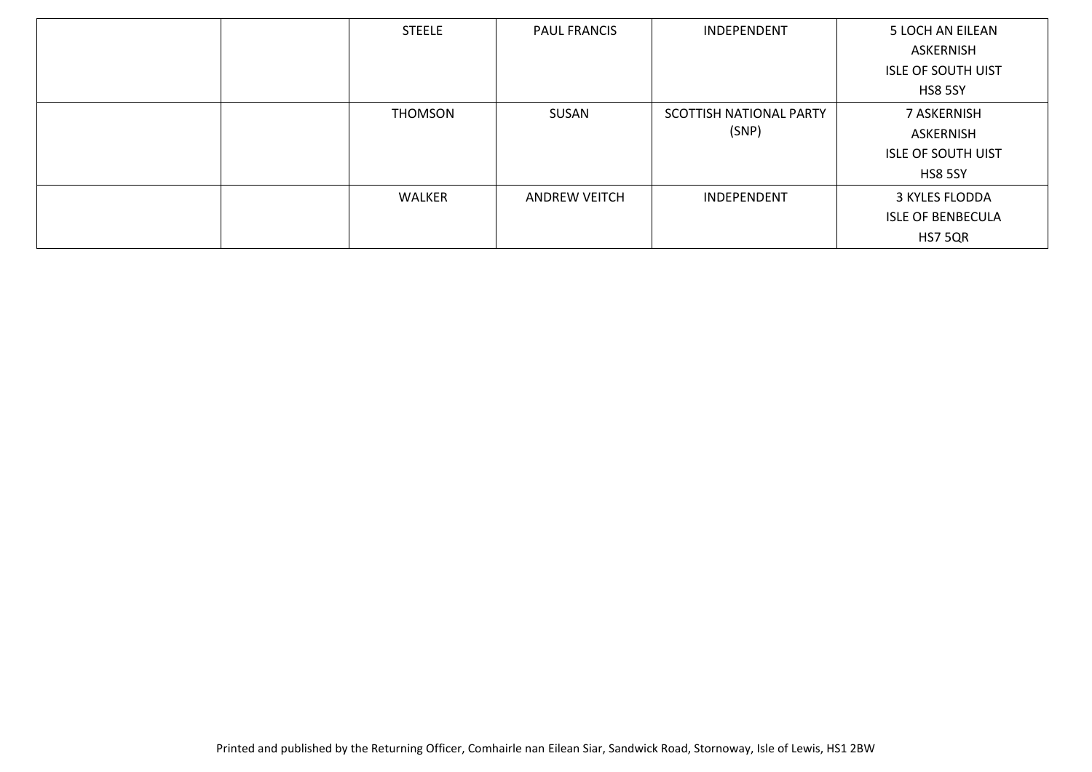| <b>STEELE</b>  | <b>PAUL FRANCIS</b>  | INDEPENDENT             | 5 LOCH AN EILEAN          |
|----------------|----------------------|-------------------------|---------------------------|
|                |                      |                         | ASKERNISH                 |
|                |                      |                         | <b>ISLE OF SOUTH UIST</b> |
|                |                      |                         | <b>HS8 5SY</b>            |
| <b>THOMSON</b> | SUSAN                | SCOTTISH NATIONAL PARTY | 7 ASKERNISH               |
|                |                      | (SNP)                   | ASKERNISH                 |
|                |                      |                         | <b>ISLE OF SOUTH UIST</b> |
|                |                      |                         | <b>HS8 5SY</b>            |
| WALKER         | <b>ANDREW VEITCH</b> | INDEPENDENT             | 3 KYLES FLODDA            |
|                |                      |                         | <b>ISLE OF BENBECULA</b>  |
|                |                      |                         | <b>HS7 5QR</b>            |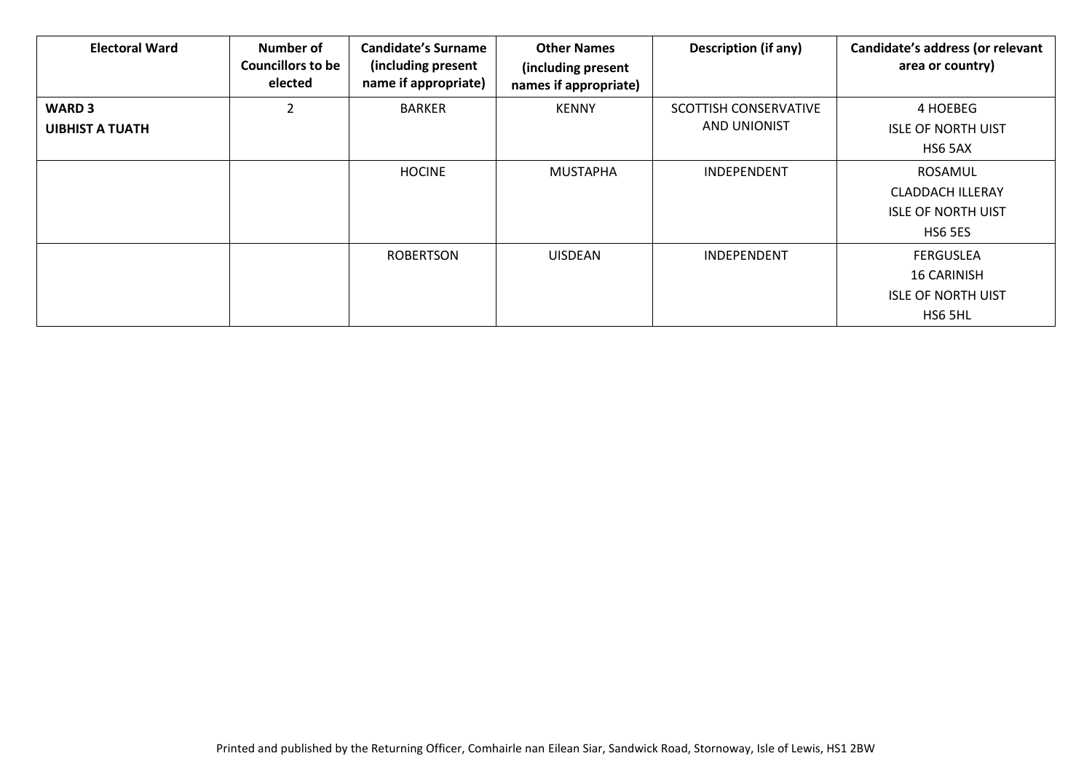| <b>Electoral Ward</b>  | <b>Number of</b><br><b>Councillors to be</b><br>elected | Candidate's Surname<br>(including present<br>name if appropriate) | <b>Other Names</b><br>(including present<br>names if appropriate) | <b>Description (if any)</b> | Candidate's address (or relevant<br>area or country) |
|------------------------|---------------------------------------------------------|-------------------------------------------------------------------|-------------------------------------------------------------------|-----------------------------|------------------------------------------------------|
| <b>WARD 3</b>          | 2                                                       | <b>BARKER</b>                                                     | <b>KENNY</b>                                                      | SCOTTISH CONSERVATIVE       | 4 HOEBEG                                             |
| <b>UIBHIST A TUATH</b> |                                                         |                                                                   |                                                                   | <b>AND UNIONIST</b>         | <b>ISLE OF NORTH UIST</b>                            |
|                        |                                                         |                                                                   |                                                                   |                             | HS6 5AX                                              |
|                        |                                                         | <b>HOCINE</b>                                                     | <b>MUSTAPHA</b>                                                   | <b>INDEPENDENT</b>          | <b>ROSAMUL</b>                                       |
|                        |                                                         |                                                                   |                                                                   |                             | <b>CLADDACH ILLERAY</b>                              |
|                        |                                                         |                                                                   |                                                                   |                             | <b>ISLE OF NORTH UIST</b>                            |
|                        |                                                         |                                                                   |                                                                   |                             | <b>HS6 5ES</b>                                       |
|                        |                                                         | <b>ROBERTSON</b>                                                  | <b>UISDEAN</b>                                                    | INDEPENDENT                 | <b>FERGUSLEA</b>                                     |
|                        |                                                         |                                                                   |                                                                   |                             | <b>16 CARINISH</b>                                   |
|                        |                                                         |                                                                   |                                                                   |                             | <b>ISLE OF NORTH UIST</b>                            |
|                        |                                                         |                                                                   |                                                                   |                             | HS6 5HL                                              |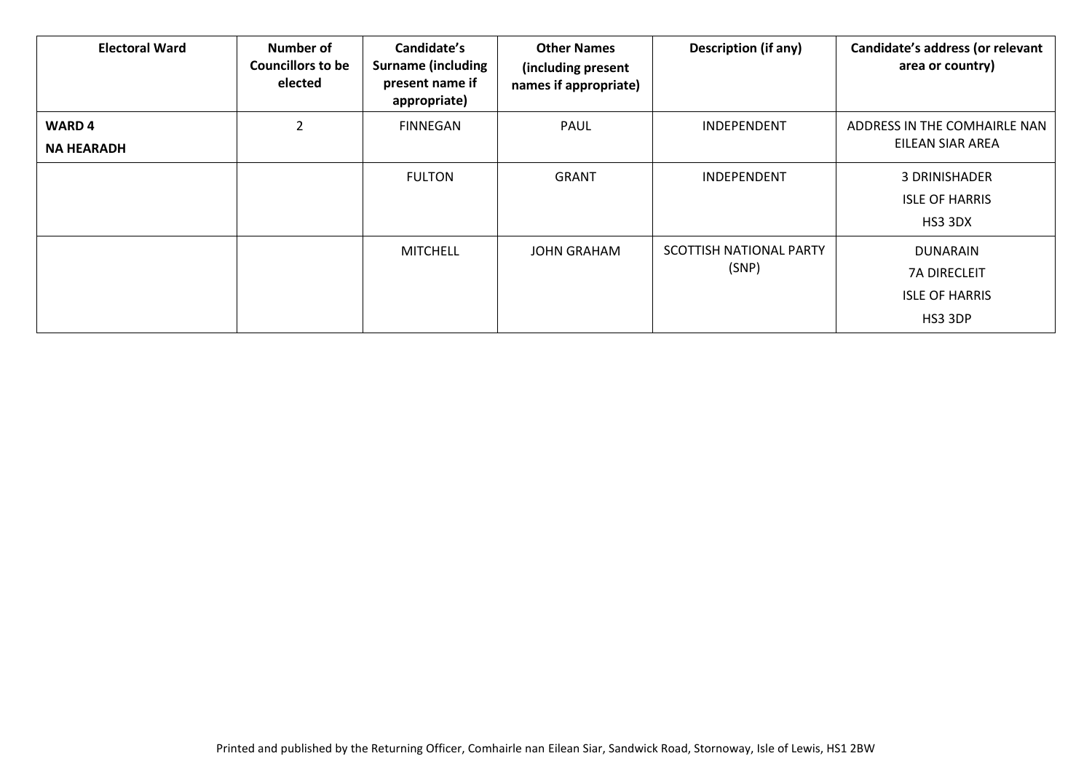| <b>Electoral Ward</b>             | <b>Number of</b><br><b>Councillors to be</b><br>elected | Candidate's<br><b>Surname (including</b><br>present name if<br>appropriate) | <b>Other Names</b><br>(including present<br>names if appropriate) | <b>Description (if any)</b>      | Candidate's address (or relevant<br>area or country)                       |
|-----------------------------------|---------------------------------------------------------|-----------------------------------------------------------------------------|-------------------------------------------------------------------|----------------------------------|----------------------------------------------------------------------------|
| <b>WARD4</b><br><b>NA HEARADH</b> | $\mathcal{P}$                                           | <b>FINNEGAN</b>                                                             | PAUL                                                              | <b>INDEPENDENT</b>               | ADDRESS IN THE COMHAIRLE NAN<br>EILEAN SIAR AREA                           |
|                                   |                                                         | <b>FULTON</b>                                                               | <b>GRANT</b>                                                      | <b>INDEPENDENT</b>               | 3 DRINISHADER<br><b>ISLE OF HARRIS</b><br>HS3 3DX                          |
|                                   |                                                         | <b>MITCHELL</b>                                                             | <b>JOHN GRAHAM</b>                                                | SCOTTISH NATIONAL PARTY<br>(SNP) | <b>DUNARAIN</b><br><b>7A DIRECLEIT</b><br><b>ISLE OF HARRIS</b><br>HS3 3DP |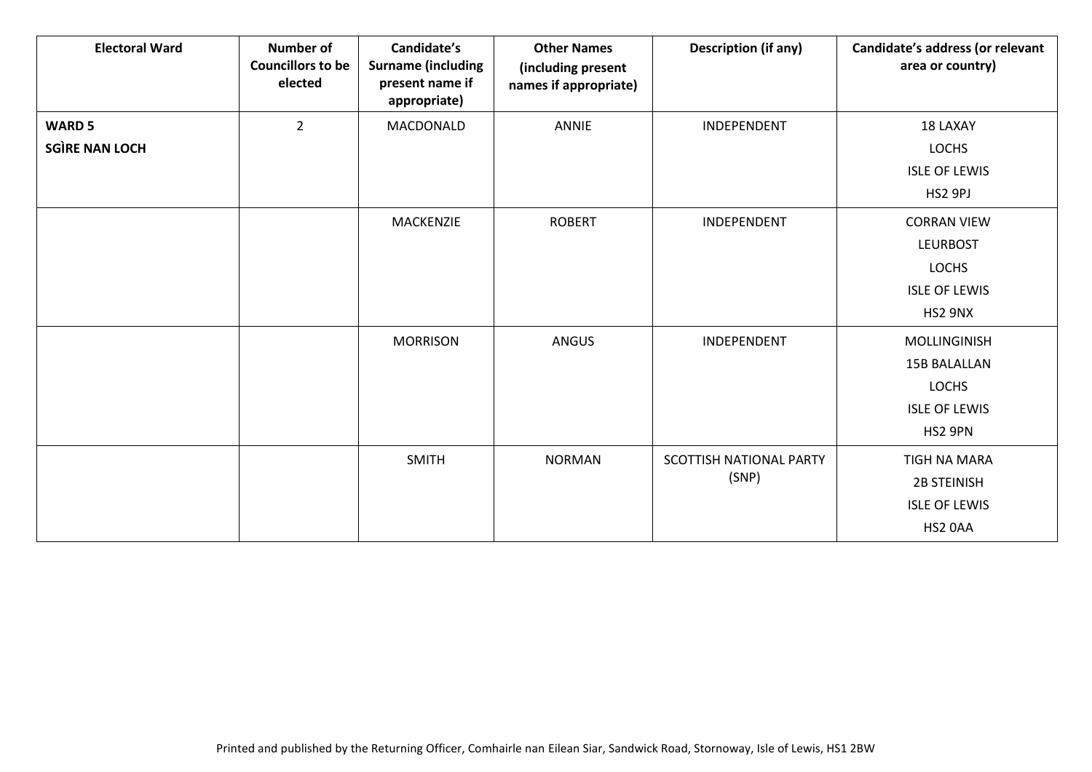| <b>Electoral Ward</b>                  | <b>Number of</b><br><b>Councillors to be</b><br>elected | Candidate's<br><b>Surname (including</b><br>present name if<br>appropriate) | <b>Other Names</b><br>(including present<br>names if appropriate) | <b>Description (if any)</b>      | Candidate's address (or relevant<br>area or country)                                     |
|----------------------------------------|---------------------------------------------------------|-----------------------------------------------------------------------------|-------------------------------------------------------------------|----------------------------------|------------------------------------------------------------------------------------------|
| <b>WARD 5</b><br><b>SGÌRE NAN LOCH</b> | $\overline{2}$                                          | MACDONALD                                                                   | <b>ANNIE</b>                                                      | INDEPENDENT                      | 18 LAXAY<br><b>LOCHS</b><br><b>ISLE OF LEWIS</b><br>HS2 9PJ                              |
|                                        |                                                         | MACKENZIE                                                                   | <b>ROBERT</b>                                                     | INDEPENDENT                      | <b>CORRAN VIEW</b><br><b>LEURBOST</b><br><b>LOCHS</b><br><b>ISLE OF LEWIS</b><br>HS2 9NX |
|                                        |                                                         | <b>MORRISON</b>                                                             | <b>ANGUS</b>                                                      | INDEPENDENT                      | MOLLINGINISH<br><b>15B BALALLAN</b><br><b>LOCHS</b><br><b>ISLE OF LEWIS</b><br>HS2 9PN   |
|                                        |                                                         | <b>SMITH</b>                                                                | <b>NORMAN</b>                                                     | SCOTTISH NATIONAL PARTY<br>(SNP) | TIGH NA MARA<br><b>2B STEINISH</b><br><b>ISLE OF LEWIS</b><br>HS2 0AA                    |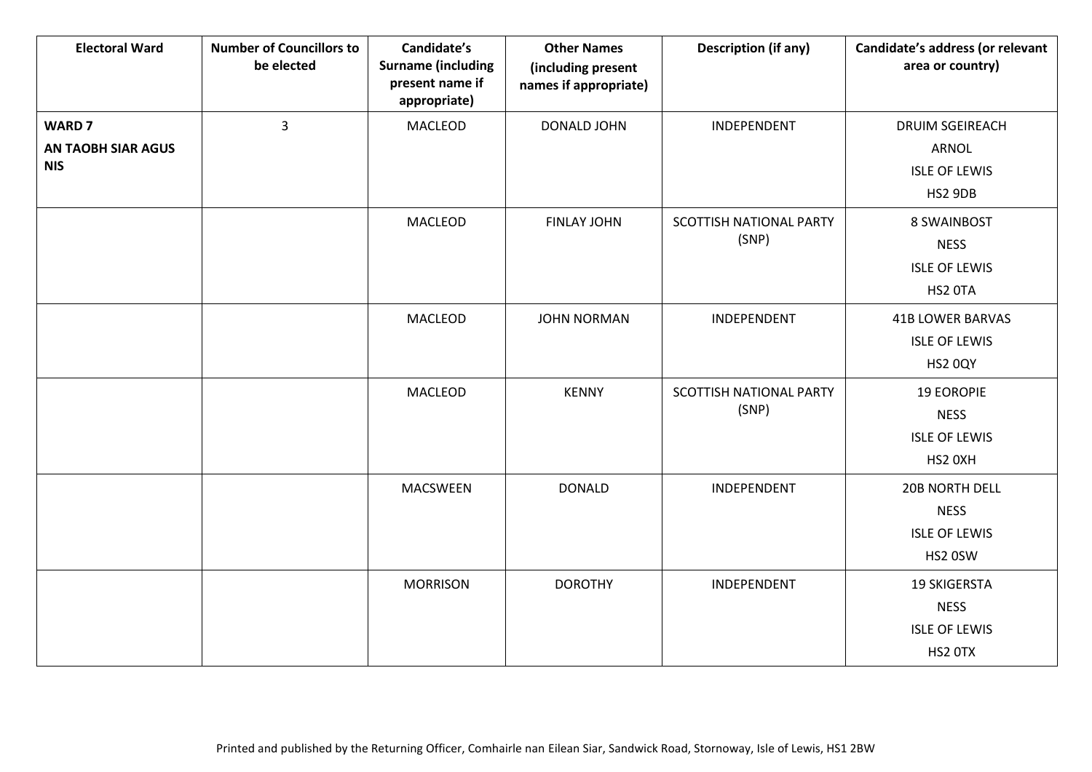| <b>Electoral Ward</b>                                    | <b>Number of Councillors to</b><br>be elected | Candidate's<br><b>Surname (including</b><br>present name if<br>appropriate) | <b>Other Names</b><br>(including present<br>names if appropriate) | <b>Description (if any)</b>      | Candidate's address (or relevant<br>area or country)                      |
|----------------------------------------------------------|-----------------------------------------------|-----------------------------------------------------------------------------|-------------------------------------------------------------------|----------------------------------|---------------------------------------------------------------------------|
| <b>WARD 7</b><br><b>AN TAOBH SIAR AGUS</b><br><b>NIS</b> | $\overline{3}$                                | <b>MACLEOD</b>                                                              | DONALD JOHN                                                       | INDEPENDENT                      | <b>DRUIM SGEIREACH</b><br><b>ARNOL</b><br><b>ISLE OF LEWIS</b><br>HS2 9DB |
|                                                          |                                               | <b>MACLEOD</b>                                                              | <b>FINLAY JOHN</b>                                                | SCOTTISH NATIONAL PARTY<br>(SNP) | 8 SWAINBOST<br><b>NESS</b><br><b>ISLE OF LEWIS</b><br>HS2 OTA             |
|                                                          |                                               | <b>MACLEOD</b>                                                              | <b>JOHN NORMAN</b>                                                | INDEPENDENT                      | <b>41B LOWER BARVAS</b><br><b>ISLE OF LEWIS</b><br>HS2 0QY                |
|                                                          |                                               | MACLEOD                                                                     | <b>KENNY</b>                                                      | SCOTTISH NATIONAL PARTY<br>(SNP) | <b>19 EOROPIE</b><br><b>NESS</b><br><b>ISLE OF LEWIS</b><br>HS2 0XH       |
|                                                          |                                               | <b>MACSWEEN</b>                                                             | <b>DONALD</b>                                                     | INDEPENDENT                      | 20B NORTH DELL<br><b>NESS</b><br><b>ISLE OF LEWIS</b><br>HS2 0SW          |
|                                                          |                                               | <b>MORRISON</b>                                                             | <b>DOROTHY</b>                                                    | INDEPENDENT                      | <b>19 SKIGERSTA</b><br><b>NESS</b><br><b>ISLE OF LEWIS</b><br>HS2 OTX     |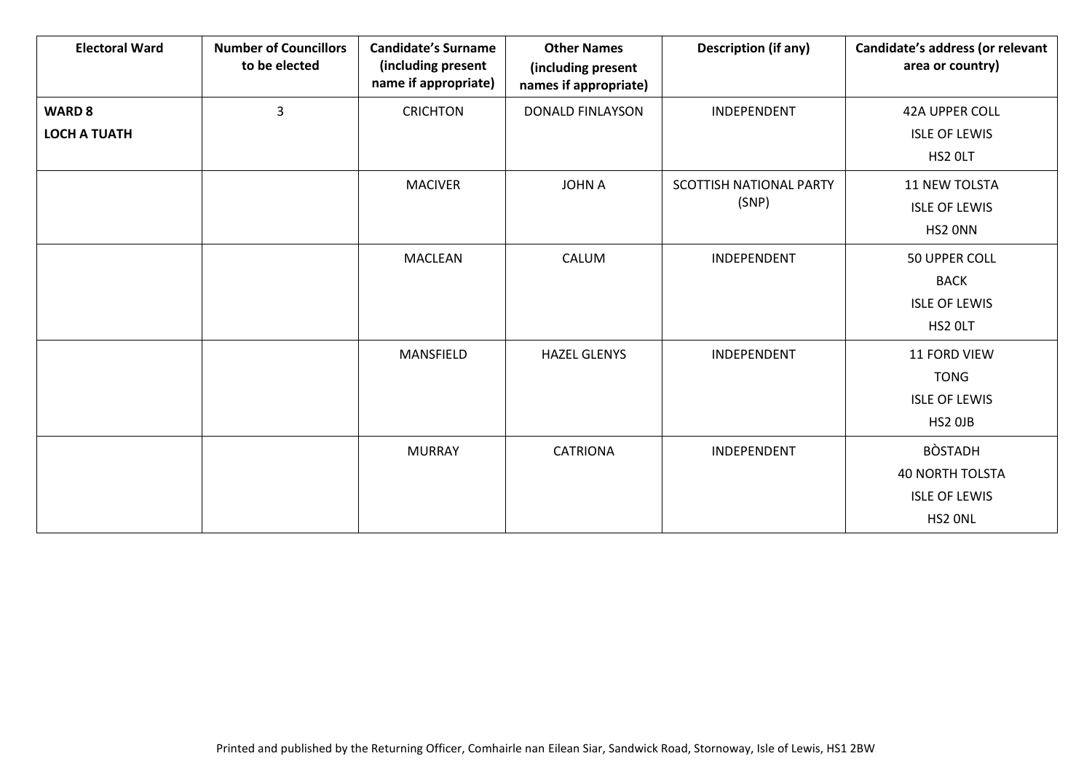| <b>Electoral Ward</b>                | <b>Number of Councillors</b><br>to be elected | <b>Candidate's Surname</b><br>(including present<br>name if appropriate) | <b>Other Names</b><br>(including present<br>names if appropriate) | <b>Description (if any)</b>             | Candidate's address (or relevant<br>area or country)                        |
|--------------------------------------|-----------------------------------------------|--------------------------------------------------------------------------|-------------------------------------------------------------------|-----------------------------------------|-----------------------------------------------------------------------------|
| <b>WARD 8</b><br><b>LOCH A TUATH</b> | 3                                             | <b>CRICHTON</b>                                                          | <b>DONALD FINLAYSON</b>                                           | INDEPENDENT                             | 42A UPPER COLL<br><b>ISLE OF LEWIS</b><br>HS2 OLT                           |
|                                      |                                               | <b>MACIVER</b>                                                           | <b>JOHN A</b>                                                     | <b>SCOTTISH NATIONAL PARTY</b><br>(SNP) | 11 NEW TOLSTA<br><b>ISLE OF LEWIS</b><br>HS2 ONN                            |
|                                      |                                               | <b>MACLEAN</b>                                                           | CALUM                                                             | INDEPENDENT                             | 50 UPPER COLL<br><b>BACK</b><br><b>ISLE OF LEWIS</b><br>HS2 OLT             |
|                                      |                                               | MANSFIELD                                                                | <b>HAZEL GLENYS</b>                                               | INDEPENDENT                             | 11 FORD VIEW<br><b>TONG</b><br><b>ISLE OF LEWIS</b><br>HS2 OJB              |
|                                      |                                               | <b>MURRAY</b>                                                            | <b>CATRIONA</b>                                                   | INDEPENDENT                             | <b>BÒSTADH</b><br><b>40 NORTH TOLSTA</b><br><b>ISLE OF LEWIS</b><br>HS2 ONL |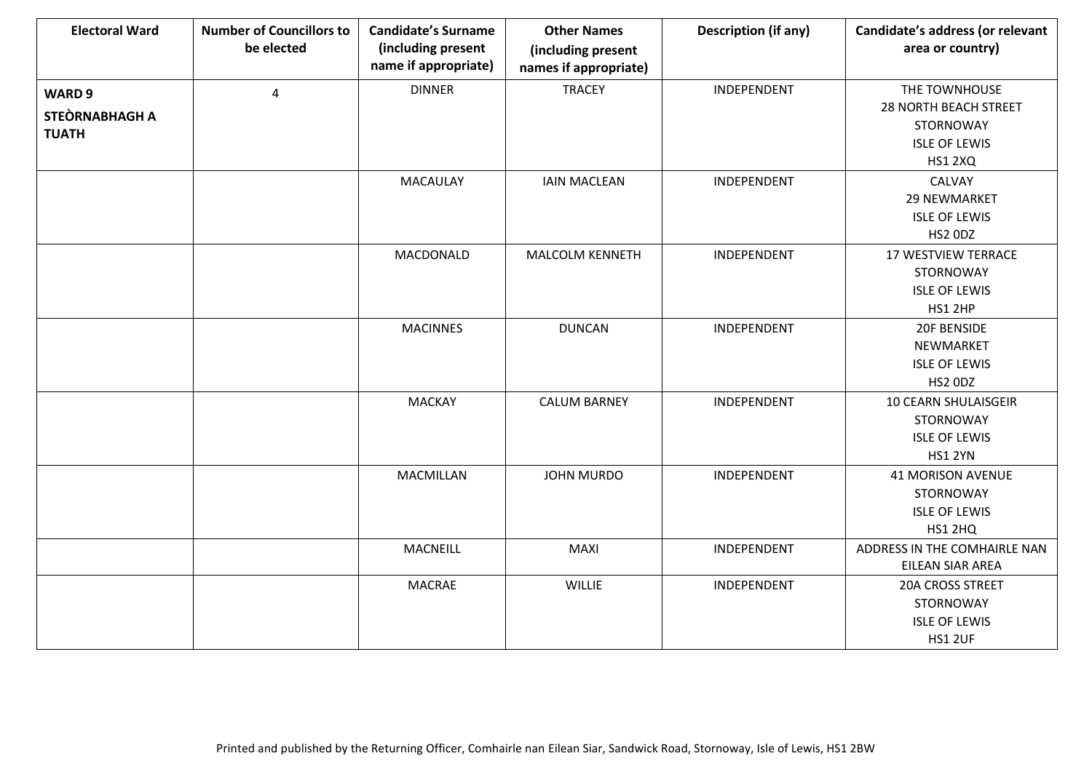| <b>Electoral Ward</b> | <b>Number of Councillors to</b><br>be elected | <b>Candidate's Surname</b><br>(including present<br>name if appropriate) | <b>Other Names</b><br>(including present<br>names if appropriate) | <b>Description (if any)</b> | Candidate's address (or relevant<br>area or country) |
|-----------------------|-----------------------------------------------|--------------------------------------------------------------------------|-------------------------------------------------------------------|-----------------------------|------------------------------------------------------|
| WARD 9                | $\overline{4}$                                | <b>DINNER</b>                                                            | <b>TRACEY</b>                                                     | INDEPENDENT                 | THE TOWNHOUSE                                        |
| STEÒRNABHAGH A        |                                               |                                                                          |                                                                   |                             | <b>28 NORTH BEACH STREET</b>                         |
| <b>TUATH</b>          |                                               |                                                                          |                                                                   |                             | STORNOWAY                                            |
|                       |                                               |                                                                          |                                                                   |                             | <b>ISLE OF LEWIS</b>                                 |
|                       |                                               |                                                                          |                                                                   |                             | <b>HS1 2XQ</b>                                       |
|                       |                                               | <b>MACAULAY</b>                                                          | <b>IAIN MACLEAN</b>                                               | INDEPENDENT                 | CALVAY                                               |
|                       |                                               |                                                                          |                                                                   |                             | 29 NEWMARKET                                         |
|                       |                                               |                                                                          |                                                                   |                             | <b>ISLE OF LEWIS</b>                                 |
|                       |                                               |                                                                          |                                                                   |                             | HS2 ODZ                                              |
|                       |                                               | MACDONALD                                                                | <b>MALCOLM KENNETH</b>                                            | INDEPENDENT                 | <b>17 WESTVIEW TERRACE</b>                           |
|                       |                                               |                                                                          |                                                                   |                             | STORNOWAY                                            |
|                       |                                               |                                                                          |                                                                   |                             | <b>ISLE OF LEWIS</b>                                 |
|                       |                                               |                                                                          |                                                                   |                             | HS1 2HP                                              |
|                       |                                               | <b>MACINNES</b>                                                          | <b>DUNCAN</b>                                                     | INDEPENDENT                 | 20F BENSIDE                                          |
|                       |                                               |                                                                          |                                                                   |                             | NEWMARKET                                            |
|                       |                                               |                                                                          |                                                                   |                             | <b>ISLE OF LEWIS</b>                                 |
|                       |                                               |                                                                          |                                                                   |                             | HS2 ODZ                                              |
|                       |                                               | <b>MACKAY</b>                                                            | <b>CALUM BARNEY</b>                                               | INDEPENDENT                 | 10 CEARN SHULAISGEIR                                 |
|                       |                                               |                                                                          |                                                                   |                             | STORNOWAY                                            |
|                       |                                               |                                                                          |                                                                   |                             | <b>ISLE OF LEWIS</b>                                 |
|                       |                                               |                                                                          |                                                                   |                             | <b>HS1 2YN</b>                                       |
|                       |                                               | <b>MACMILLAN</b>                                                         | <b>JOHN MURDO</b>                                                 | INDEPENDENT                 | <b>41 MORISON AVENUE</b>                             |
|                       |                                               |                                                                          |                                                                   |                             | STORNOWAY                                            |
|                       |                                               |                                                                          |                                                                   |                             | <b>ISLE OF LEWIS</b>                                 |
|                       |                                               |                                                                          |                                                                   |                             | <b>HS1 2HQ</b>                                       |
|                       |                                               | MACNEILL                                                                 | <b>MAXI</b>                                                       | INDEPENDENT                 | ADDRESS IN THE COMHAIRLE NAN                         |
|                       |                                               |                                                                          |                                                                   |                             | EILEAN SIAR AREA                                     |
|                       |                                               | <b>MACRAE</b>                                                            | WILLIE                                                            | INDEPENDENT                 | 20A CROSS STREET                                     |
|                       |                                               |                                                                          |                                                                   |                             | STORNOWAY                                            |
|                       |                                               |                                                                          |                                                                   |                             | <b>ISLE OF LEWIS</b>                                 |
|                       |                                               |                                                                          |                                                                   |                             | <b>HS1 2UF</b>                                       |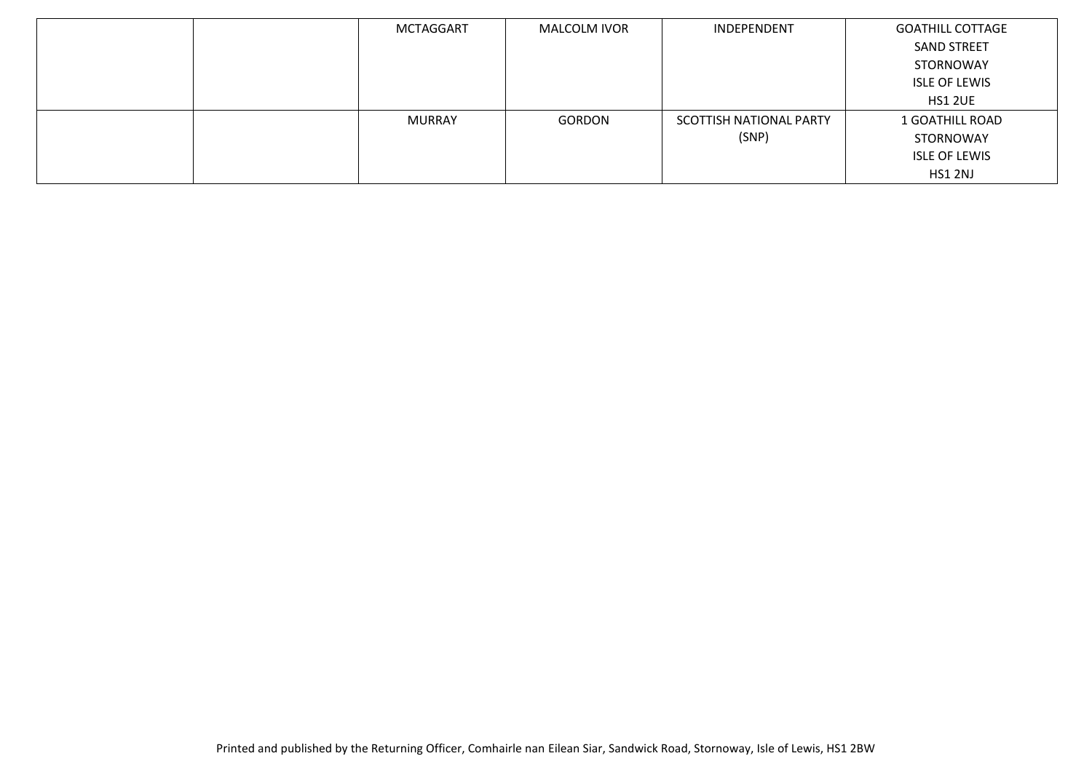| MCTAGGART | MALCOLM IVOR | INDEPENDENT             | <b>GOATHILL COTTAGE</b> |
|-----------|--------------|-------------------------|-------------------------|
|           |              |                         | <b>SAND STREET</b>      |
|           |              |                         | STORNOWAY               |
|           |              |                         | <b>ISLE OF LEWIS</b>    |
|           |              |                         | HS1 2UE                 |
| MURRAY    | GORDON       | SCOTTISH NATIONAL PARTY | 1 GOATHILL ROAD         |
|           |              | (SNP)                   | STORNOWAY               |
|           |              |                         | <b>ISLE OF LEWIS</b>    |
|           |              |                         | HS1 2NJ                 |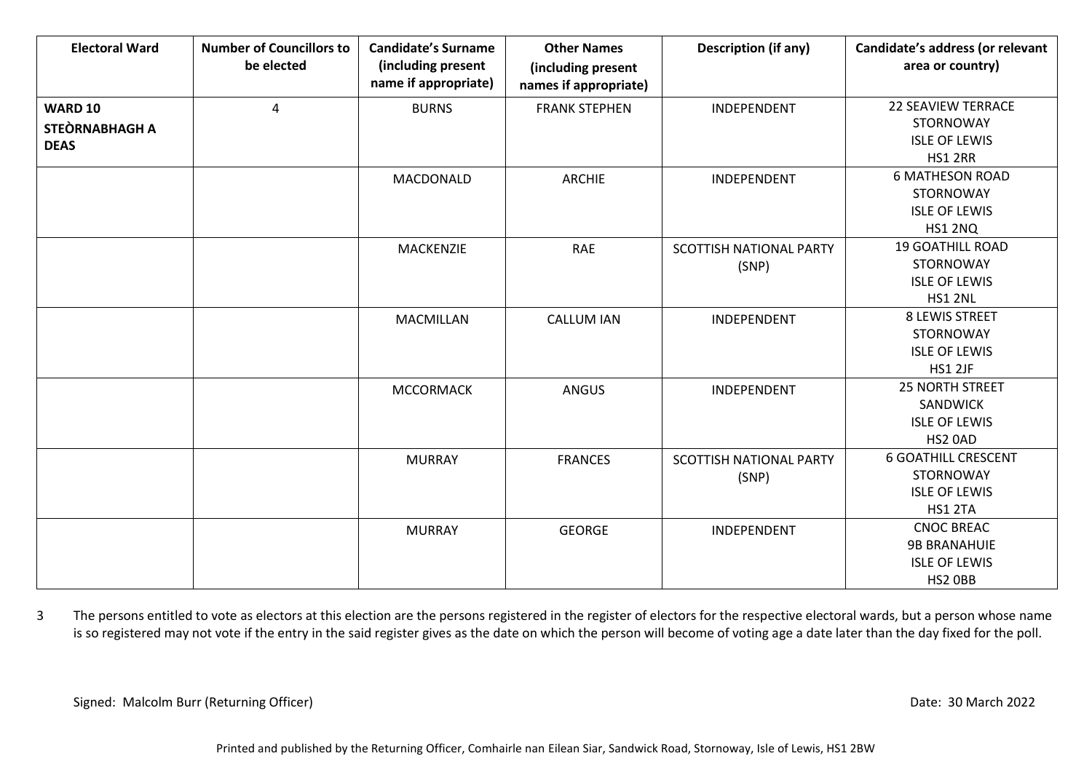| <b>Electoral Ward</b>                           | <b>Number of Councillors to</b><br>be elected | <b>Candidate's Surname</b><br>(including present<br>name if appropriate) | <b>Other Names</b><br>(including present<br>names if appropriate) | <b>Description (if any)</b>      | Candidate's address (or relevant<br>area or country)                                  |
|-------------------------------------------------|-----------------------------------------------|--------------------------------------------------------------------------|-------------------------------------------------------------------|----------------------------------|---------------------------------------------------------------------------------------|
| <b>WARD 10</b><br>STEÒRNABHAGH A<br><b>DEAS</b> | $\overline{a}$                                | <b>BURNS</b>                                                             | <b>FRANK STEPHEN</b>                                              | INDEPENDENT                      | <b>22 SEAVIEW TERRACE</b><br>STORNOWAY<br><b>ISLE OF LEWIS</b><br><b>HS1 2RR</b>      |
|                                                 |                                               | MACDONALD                                                                | <b>ARCHIE</b>                                                     | INDEPENDENT                      | <b>6 MATHESON ROAD</b><br>STORNOWAY<br><b>ISLE OF LEWIS</b><br>HS1 2NQ                |
|                                                 |                                               | <b>MACKENZIE</b>                                                         | RAE                                                               | SCOTTISH NATIONAL PARTY<br>(SNP) | <b>19 GOATHILL ROAD</b><br><b>STORNOWAY</b><br><b>ISLE OF LEWIS</b><br><b>HS1 2NL</b> |
|                                                 |                                               | <b>MACMILLAN</b>                                                         | <b>CALLUM IAN</b>                                                 | INDEPENDENT                      | 8 LEWIS STREET<br>STORNOWAY<br><b>ISLE OF LEWIS</b><br>HS1 2JF                        |
|                                                 |                                               | <b>MCCORMACK</b>                                                         | ANGUS                                                             | INDEPENDENT                      | <b>25 NORTH STREET</b><br>SANDWICK<br><b>ISLE OF LEWIS</b><br>HS2 0AD                 |
|                                                 |                                               | <b>MURRAY</b>                                                            | <b>FRANCES</b>                                                    | SCOTTISH NATIONAL PARTY<br>(SNP) | <b>6 GOATHILL CRESCENT</b><br>STORNOWAY<br><b>ISLE OF LEWIS</b><br>HS1 2TA            |
|                                                 |                                               | <b>MURRAY</b>                                                            | <b>GEORGE</b>                                                     | INDEPENDENT                      | <b>CNOC BREAC</b><br><b>9B BRANAHUIE</b><br><b>ISLE OF LEWIS</b><br>HS2 OBB           |

3 The persons entitled to vote as electors at this election are the persons registered in the register of electors for the respective electoral wards, but a person whose name is so registered may not vote if the entry in the said register gives as the date on which the person will become of voting age a date later than the day fixed for the poll.